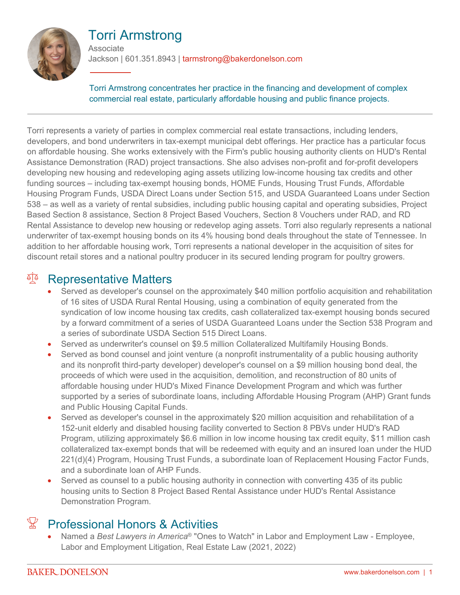

#### Torri Armstrong **Associate**

Jackson | 601.351.8943 | tarmstrong@bakerdonelson.com

Torri Armstrong concentrates her practice in the financing and development of complex commercial real estate, particularly affordable housing and public finance projects.

Torri represents a variety of parties in complex commercial real estate transactions, including lenders, developers, and bond underwriters in tax-exempt municipal debt offerings. Her practice has a particular focus on affordable housing. She works extensively with the Firm's public housing authority clients on HUD's Rental Assistance Demonstration (RAD) project transactions. She also advises non-profit and for-profit developers developing new housing and redeveloping aging assets utilizing low-income housing tax credits and other funding sources – including tax-exempt housing bonds, HOME Funds, Housing Trust Funds, Affordable Housing Program Funds, USDA Direct Loans under Section 515, and USDA Guaranteed Loans under Section 538 – as well as a variety of rental subsidies, including public housing capital and operating subsidies, Project Based Section 8 assistance, Section 8 Project Based Vouchers, Section 8 Vouchers under RAD, and RD Rental Assistance to develop new housing or redevelop aging assets. Torri also regularly represents a national underwriter of tax-exempt housing bonds on its 4% housing bond deals throughout the state of Tennessee. In addition to her affordable housing work, Torri represents a national developer in the acquisition of sites for discount retail stores and a national poultry producer in its secured lending program for poultry growers.

### **Representative Matters**

- Served as developer's counsel on the approximately \$40 million portfolio acquisition and rehabilitation of 16 sites of USDA Rural Rental Housing, using a combination of equity generated from the syndication of low income housing tax credits, cash collateralized tax-exempt housing bonds secured by a forward commitment of a series of USDA Guaranteed Loans under the Section 538 Program and a series of subordinate USDA Section 515 Direct Loans.
- Served as underwriter's counsel on \$9.5 million Collateralized Multifamily Housing Bonds.
- Served as bond counsel and joint venture (a nonprofit instrumentality of a public housing authority and its nonprofit third-party developer) developer's counsel on a \$9 million housing bond deal, the proceeds of which were used in the acquisition, demolition, and reconstruction of 80 units of affordable housing under HUD's Mixed Finance Development Program and which was further supported by a series of subordinate loans, including Affordable Housing Program (AHP) Grant funds and Public Housing Capital Funds.
- Served as developer's counsel in the approximately \$20 million acquisition and rehabilitation of a 152-unit elderly and disabled housing facility converted to Section 8 PBVs under HUD's RAD Program, utilizing approximately \$6.6 million in low income housing tax credit equity, \$11 million cash collateralized tax-exempt bonds that will be redeemed with equity and an insured loan under the HUD 221(d)(4) Program, Housing Trust Funds, a subordinate loan of Replacement Housing Factor Funds, and a subordinate loan of AHP Funds.
- Served as counsel to a public housing authority in connection with converting 435 of its public housing units to Section 8 Project Based Rental Assistance under HUD's Rental Assistance Demonstration Program.

# $\mathbb{F}$  Professional Honors & Activities

 Named a *Best Lawyers in America*® "Ones to Watch" in Labor and Employment Law - Employee, Labor and Employment Litigation, Real Estate Law (2021, 2022)